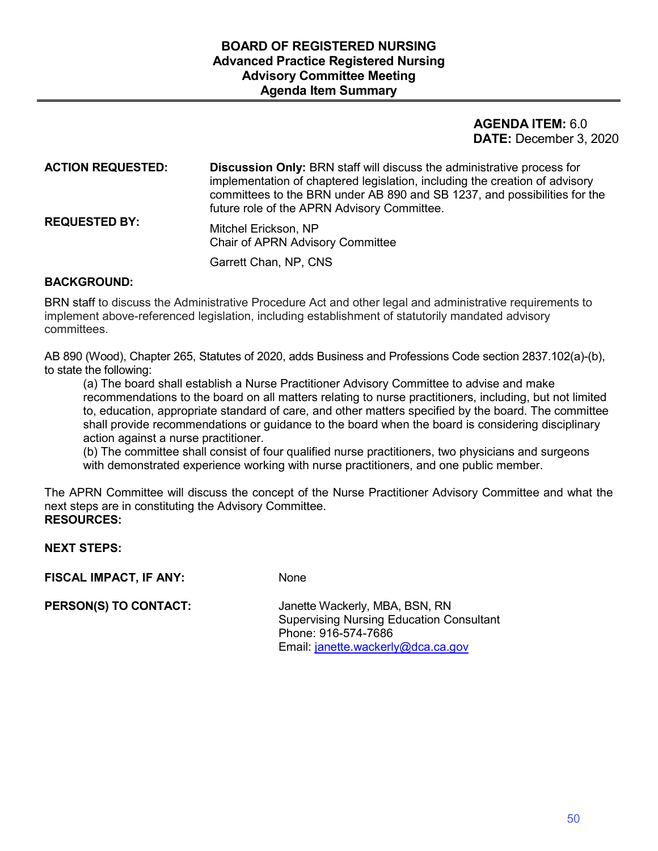### **DATE:** December 3, 2020 **AGENDA ITEM:** 6.0

| <b>ACTION REQUESTED:</b> | <b>Discussion Only: BRN staff will discuss the administrative process for</b><br>implementation of chaptered legislation, including the creation of advisory<br>committees to the BRN under AB 890 and SB 1237, and possibilities for the<br>future role of the APRN Advisory Committee. |
|--------------------------|------------------------------------------------------------------------------------------------------------------------------------------------------------------------------------------------------------------------------------------------------------------------------------------|
| <b>REQUESTED BY:</b>     | Mitchel Erickson, NP<br><b>Chair of APRN Advisory Committee</b>                                                                                                                                                                                                                          |
|                          | Garrett Chan, NP, CNS                                                                                                                                                                                                                                                                    |

#### **BACKGROUND:**

BRN staff to discuss the Administrative Procedure Act and other legal and administrative requirements to implement above-referenced legislation, including establishment of statutorily mandated advisory committees.

AB 890 (Wood), Chapter 265, Statutes of 2020, adds Business and Professions Code section 2837.102(a)-(b), to state the following:

 recommendations to the board on all matters relating to nurse practitioners, including, but not limited (a) The board shall establish a Nurse Practitioner Advisory Committee to advise and make to, education, appropriate standard of care, and other matters specified by the board. The committee shall provide recommendations or guidance to the board when the board is considering disciplinary action against a nurse practitioner.

(b) The committee shall consist of four qualified nurse practitioners, two physicians and surgeons with demonstrated experience working with nurse practitioners, and one public member.

The APRN Committee will discuss the concept of the Nurse Practitioner Advisory Committee and what the next steps are in constituting the Advisory Committee. **RESOURCES:** 

#### **NEXT STEPS:**

**FISCAL IMPACT, IF ANY:** None

Phone: 916-574-7686 **PERSON(S) TO CONTACT:** Janette Wackerly, MBA, BSN, RN Supervising Nursing Education Consultant Email: janette.wackerly@dca.ca.gov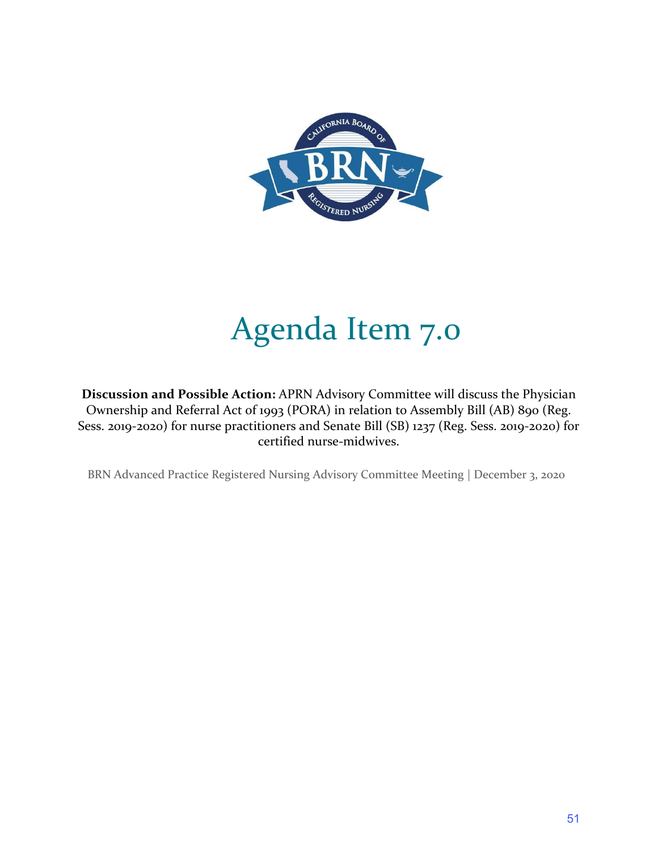

# Agenda Item 7.0

**Discussion and Possible Action:** APRN Advisory Committee will discuss the Physician Ownership and Referral Act of 1993 (PORA) in relation to Assembly Bill (AB) 890 (Reg. Sess. 2019-2020) for nurse practitioners and Senate Bill (SB) 1237 (Reg. Sess. 2019-2020) for certified nurse-midwives.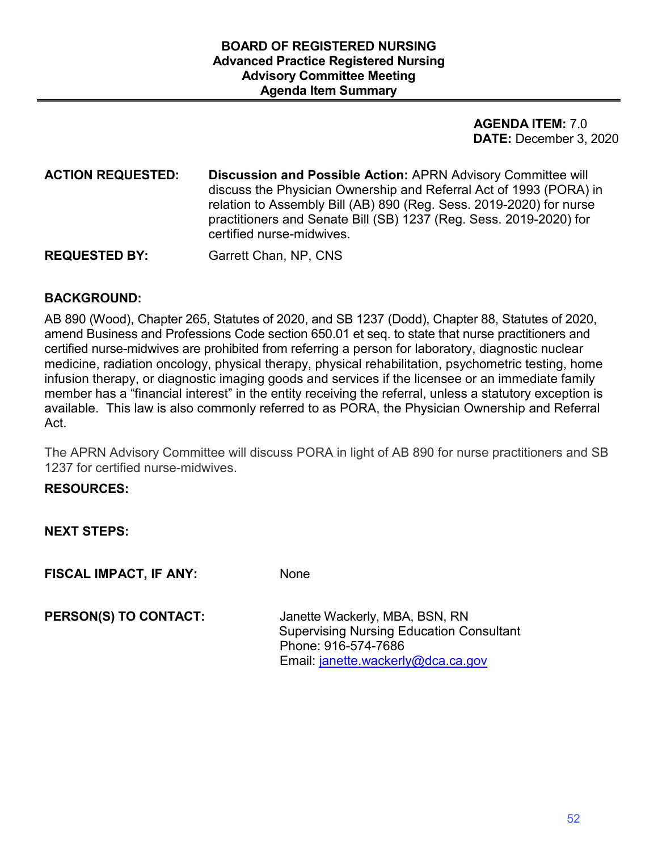### **DATE:** December 3, 2020 **AGENDA ITEM:** 7.0

**ACTION REQUESTED: Discussion and Possible Action:** APRN Advisory Committee will discuss the Physician Ownership and Referral Act of 1993 (PORA) in relation to Assembly Bill (AB) 890 (Reg. Sess. 2019-2020) for nurse practitioners and Senate Bill (SB) 1237 (Reg. Sess. 2019-2020) for certified nurse-midwives.

**REQUESTED BY:** Garrett Chan, NP, CNS

### **BACKGROUND:**

 AB 890 (Wood), Chapter 265, Statutes of 2020, and SB 1237 (Dodd), Chapter 88, Statutes of 2020, amend Business and Professions Code section 650.01 et seq. to state that nurse practitioners and infusion therapy, or diagnostic imaging goods and services if the licensee or an immediate family member has a "financial interest" in the entity receiving the referral, unless a statutory exception is available. This law is also commonly referred to as PORA, the Physician Ownership and Referral certified nurse-midwives are prohibited from referring a person for laboratory, diagnostic nuclear medicine, radiation oncology, physical therapy, physical rehabilitation, psychometric testing, home Act.

The APRN Advisory Committee will discuss PORA in light of AB 890 for nurse practitioners and SB 1237 for certified nurse-midwives.

#### **RESOURCES:**

**NEXT STEPS:** 

**FISCAL IMPACT, IF ANY:** None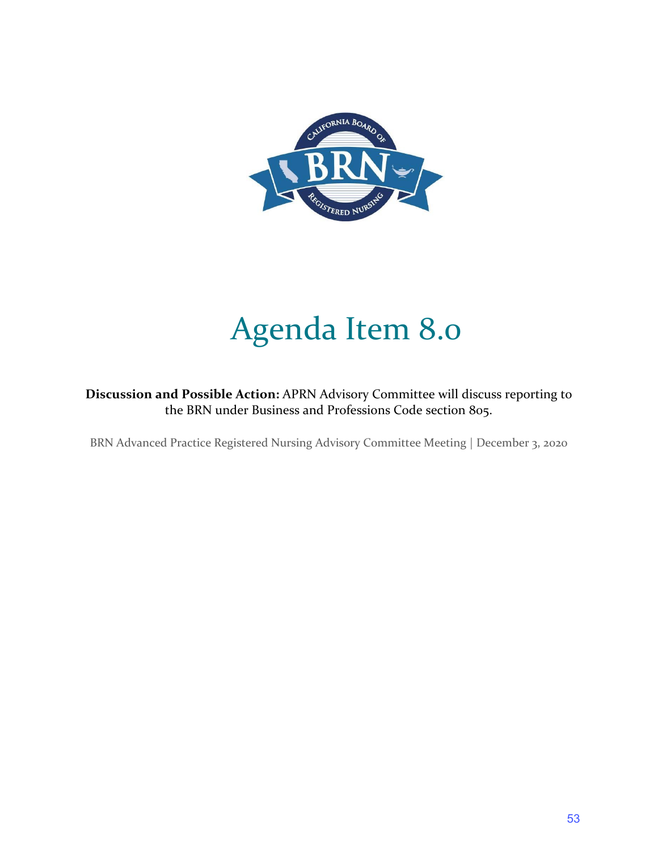

# Agenda Item 8.0

**Discussion and Possible Action:** APRN Advisory Committee will discuss reporting to the BRN under Business and Professions Code section 805.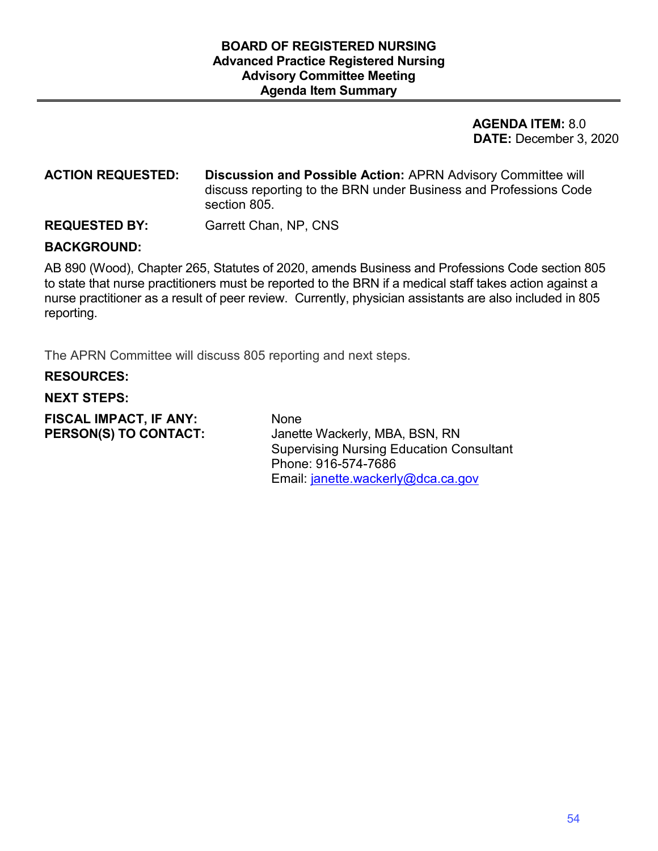### **DATE:** December 3, 2020 **AGENDA ITEM:** 8.0

#### **ACTION REQUESTED: Discussion and Possible Action:** APRN Advisory Committee will discuss reporting to the BRN under Business and Professions Code section 805.

#### **REQUESTED BY:** Garrett Chan, NP, CNS

#### **BACKGROUND:**

 AB 890 (Wood), Chapter 265, Statutes of 2020, amends Business and Professions Code section 805 nurse practitioner as a result of peer review. Currently, physician assistants are also included in 805 to state that nurse practitioners must be reported to the BRN if a medical staff takes action against a reporting.

The APRN Committee will discuss 805 reporting and next steps.

#### **RESOURCES:**

#### **NEXT STEPS:**

**FISCAL IMPACT, IF ANY:** None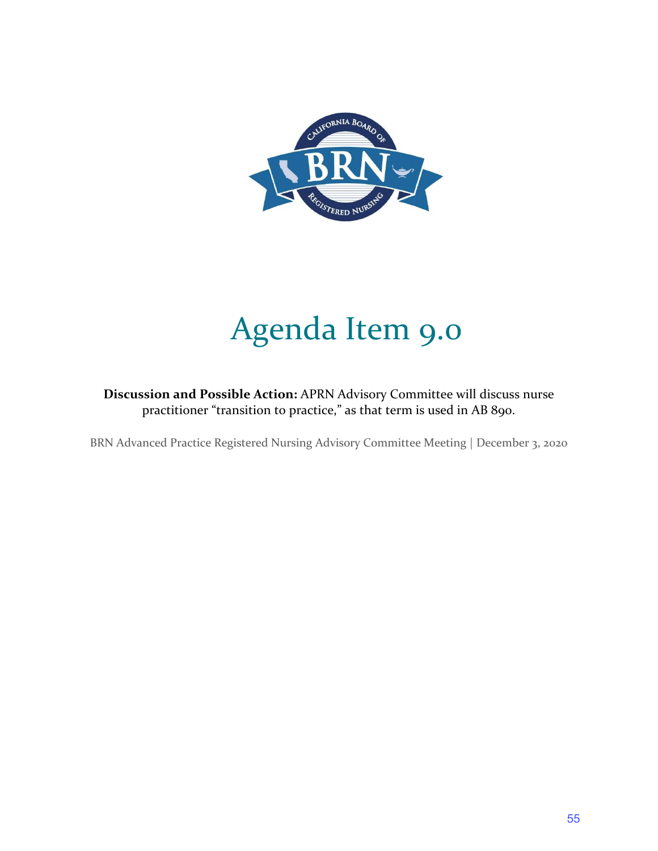

# Agenda Item 9.0

**Discussion and Possible Action:** APRN Advisory Committee will discuss nurse practitioner "transition to practice," as that term is used in AB 890.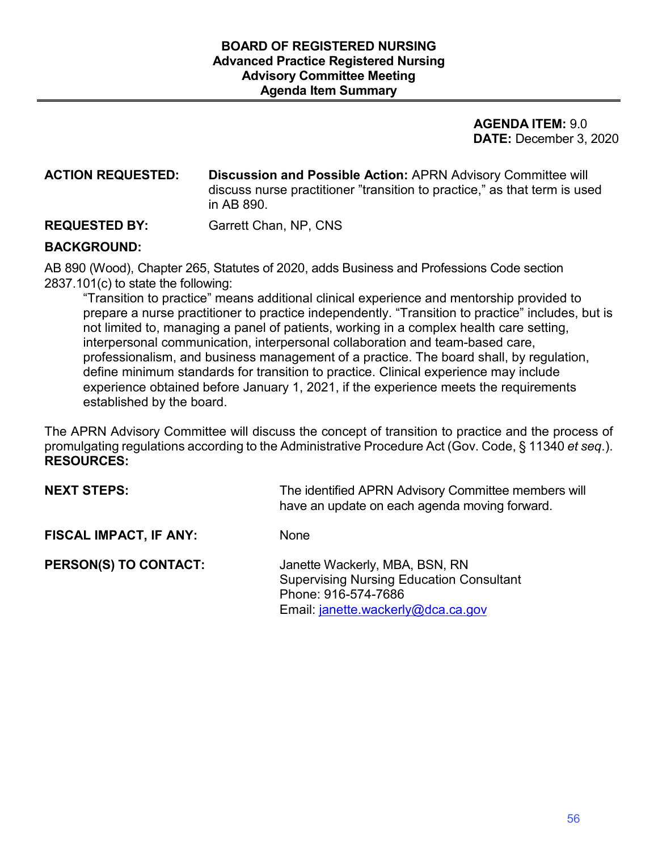### **DATE:** December 3, 2020 **AGENDA ITEM:** 9.0

#### **ACTION REQUESTED: Discussion and Possible Action:** APRN Advisory Committee will discuss nurse practitioner "transition to practice," as that term is used in AB 890.

#### **REQUESTED BY:** Garrett Chan, NP, CNS

### **BACKGROUND:**

 AB 890 (Wood), Chapter 265, Statutes of 2020, adds Business and Professions Code section 2837.101(c) to state the following:

 prepare a nurse practitioner to practice independently. "Transition to practice" includes, but is "Transition to practice" means additional clinical experience and mentorship provided to not limited to, managing a panel of patients, working in a complex health care setting, interpersonal communication, interpersonal collaboration and team-based care, professionalism, and business management of a practice. The board shall, by regulation, define minimum standards for transition to practice. Clinical experience may include experience obtained before January 1, 2021, if the experience meets the requirements established by the board.

 The APRN Advisory Committee will discuss the concept of transition to practice and the process of promulgating regulations according to the Administrative Procedure Act (Gov. Code, § 11340 *et seq*.). **RESOURCES:** 

| <b>NEXT STEPS:</b>           | The identified APRN Advisory Committee members will<br>have an update on each agenda moving forward.                                           |
|------------------------------|------------------------------------------------------------------------------------------------------------------------------------------------|
| FISCAL IMPACT, IF ANY:       | <b>None</b>                                                                                                                                    |
| <b>PERSON(S) TO CONTACT:</b> | Janette Wackerly, MBA, BSN, RN<br><b>Supervising Nursing Education Consultant</b><br>Phone: 916-574-7686<br>Email: janette.wackerly@dca.ca.gov |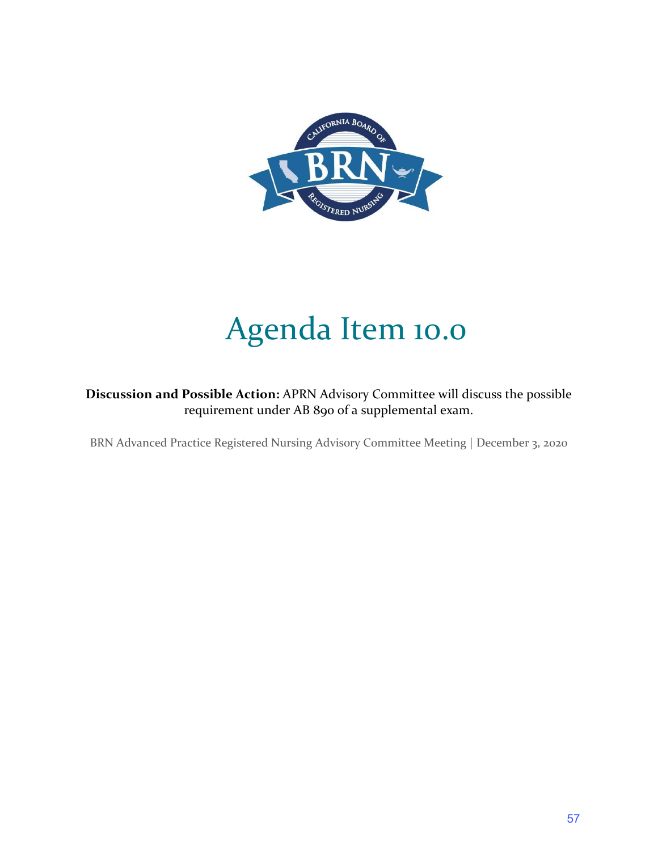

# Agenda Item 10.0

 requirement under AB 890 of a supplemental exam. **Discussion and Possible Action:** APRN Advisory Committee will discuss the possible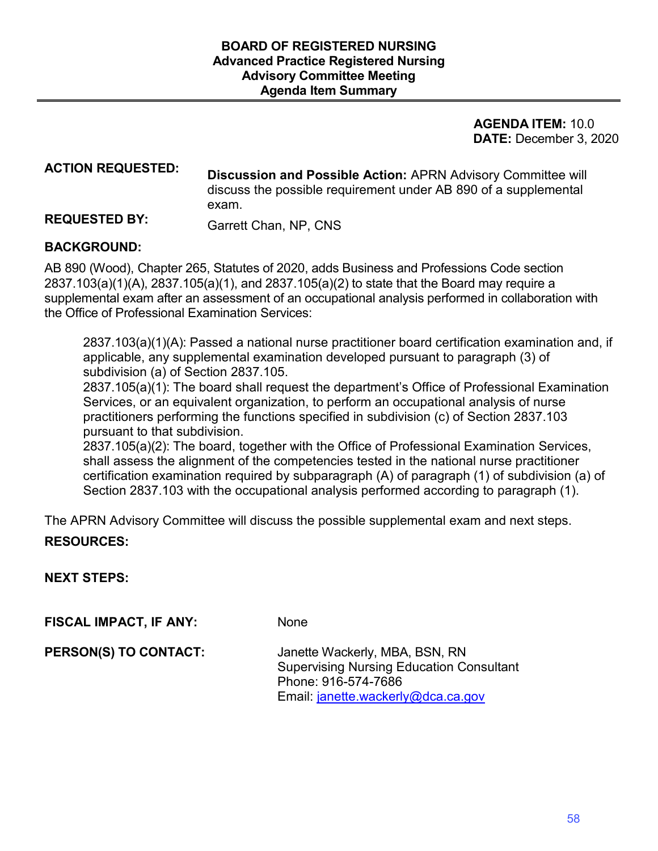### **DATE:** December 3, 2020 **AGENDA ITEM:** 10.0

## **ACTION REQUESTED: Discussion and Possible Action:** APRN Advisory Committee will discuss the possible requirement under AB 890 of a supplemental exam.

# **REQUESTED BY:** Garrett Chan, NP, CNS

#### **BACKGROUND:**

 AB 890 (Wood), Chapter 265, Statutes of 2020, adds Business and Professions Code section 2837.103(a)(1)(A), 2837.105(a)(1), and 2837.105(a)(2) to state that the Board may require a supplemental exam after an assessment of an occupational analysis performed in collaboration with the Office of Professional Examination Services:

2837.103(a)(1)(A): Passed a national nurse practitioner board certification examination and, if applicable, any supplemental examination developed pursuant to paragraph (3) of subdivision (a) of Section 2837.105.

2837.105(a)(1): The board shall request the department's Office of Professional Examination Services, or an equivalent organization, to perform an occupational analysis of nurse practitioners performing the functions specified in subdivision (c) of Section 2837.103 pursuant to that subdivision.

2837.105(a)(2): The board, together with the Office of Professional Examination Services, shall assess the alignment of the competencies tested in the national nurse practitioner certification examination required by subparagraph (A) of paragraph (1) of subdivision (a) of Section 2837.103 with the occupational analysis performed according to paragraph (1).

The APRN Advisory Committee will discuss the possible supplemental exam and next steps.

## **RESOURCES:**

**NEXT STEPS:** 

**FISCAL IMPACT, IF ANY:** None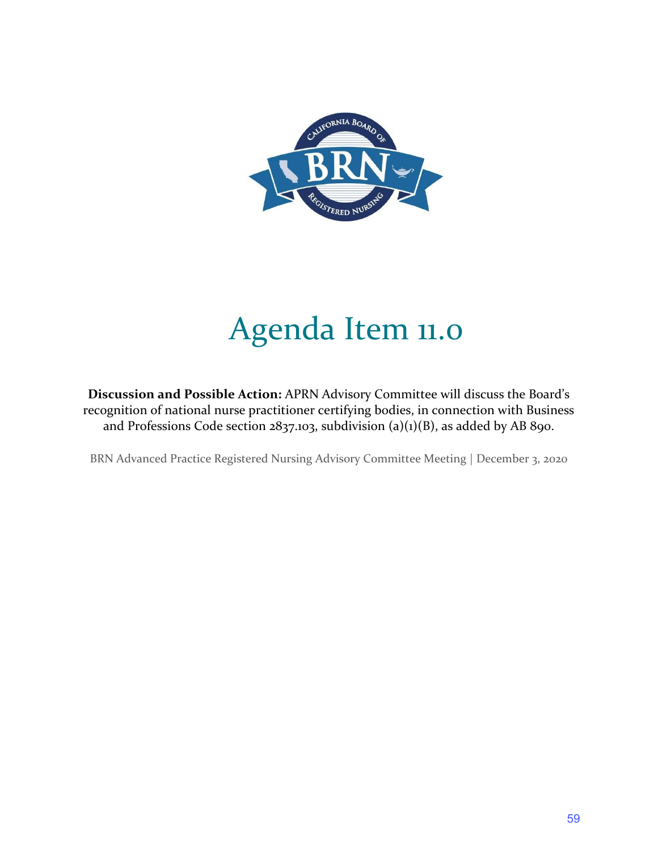

# Agenda Item 11.0

**Discussion and Possible Action:** APRN Advisory Committee will discuss the Board's recognition of national nurse practitioner certifying bodies, in connection with Business and Professions Code section  $2837.103$ , subdivision (a)(1)(B), as added by AB 890.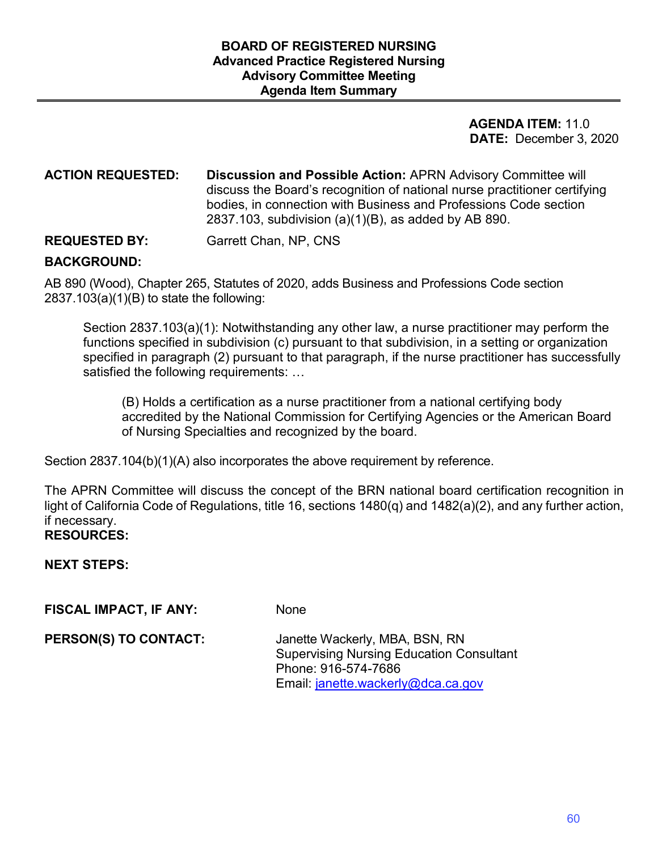### **DATE:** December 3, 2020 **AGENDA ITEM:** 11.0

**ACTION REQUESTED: Discussion and Possible Action:** APRN Advisory Committee will discuss the Board's recognition of national nurse practitioner certifying bodies, in connection with Business and Professions Code section 2837.103, subdivision (a)(1)(B), as added by AB 890.

**REQUESTED BY:** Garrett Chan, NP, CNS

#### **BACKGROUND:**

AB 890 (Wood), Chapter 265, Statutes of 2020, adds Business and Professions Code section  $2837.103(a)(1)(B)$  to state the following:

Section 2837.103(a)(1): Notwithstanding any other law, a nurse practitioner may perform the functions specified in subdivision (c) pursuant to that subdivision, in a setting or organization specified in paragraph (2) pursuant to that paragraph, if the nurse practitioner has successfully satisfied the following requirements: …

 (B) Holds a certification as a nurse practitioner from a national certifying body accredited by the National Commission for Certifying Agencies or the American Board of Nursing Specialties and recognized by the board.

Section 2837.104(b)(1)(A) also incorporates the above requirement by reference.

The APRN Committee will discuss the concept of the BRN national board certification recognition in light of California Code of Regulations, title 16, sections 1480(q) and 1482(a)(2), and any further action, if necessary.

 **RESOURCES: NEXT STEPS:** 

**FISCAL IMPACT, IF ANY:** None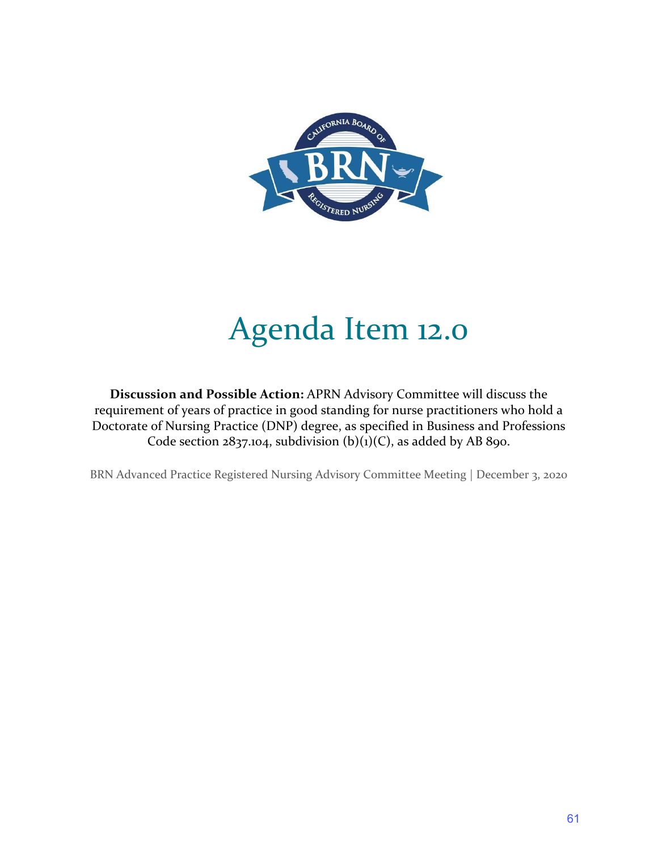

# Agenda Item 12.0

**Discussion and Possible Action:** APRN Advisory Committee will discuss the requirement of years of practice in good standing for nurse practitioners who hold a Doctorate of Nursing Practice (DNP) degree, as specified in Business and Professions Code section  $2837.104$ , subdivision (b)(1)(C), as added by AB 890.